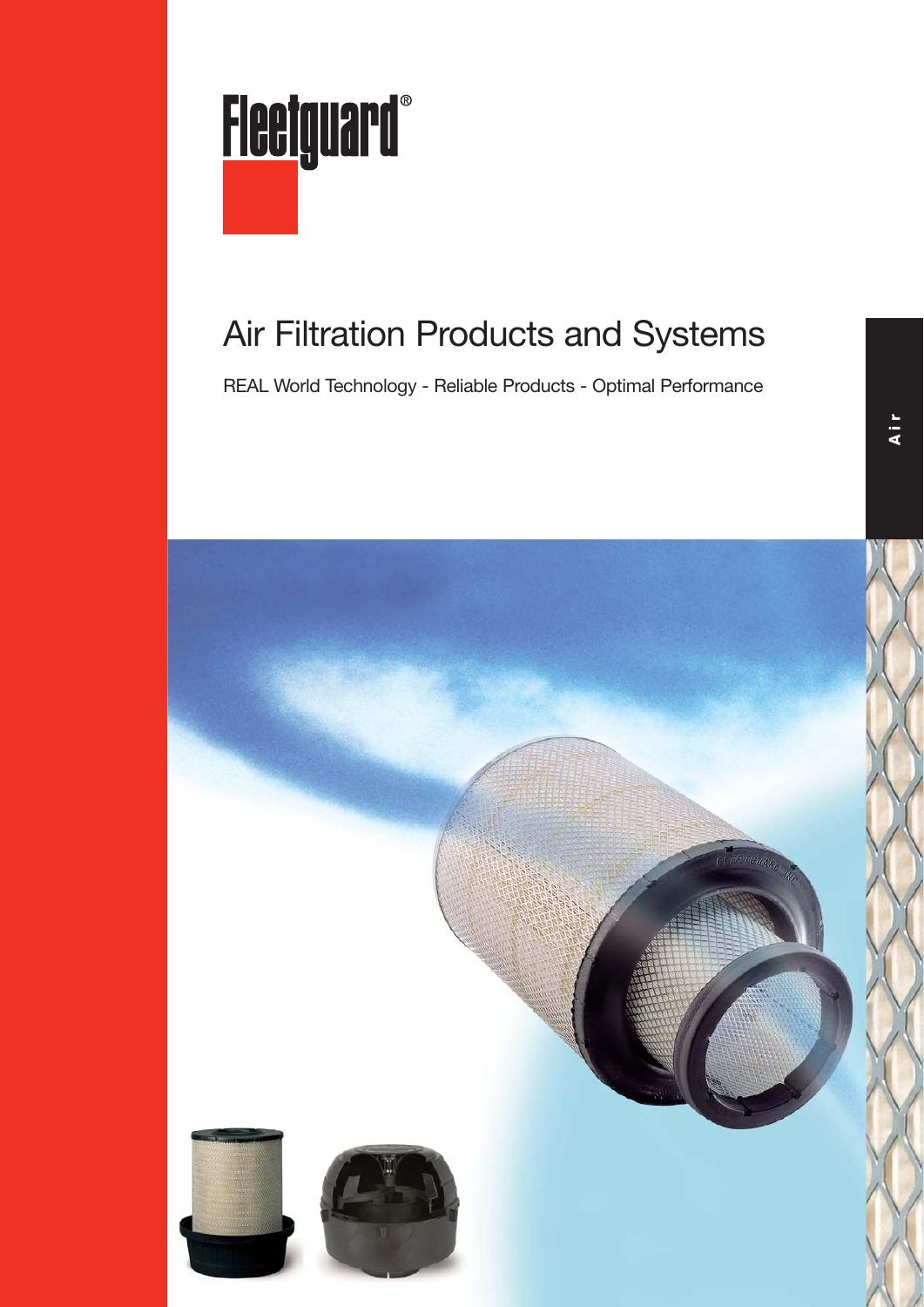

## Air Filtration Products and Systems

REAL World Technology - Reliable Products - Optimal Performance

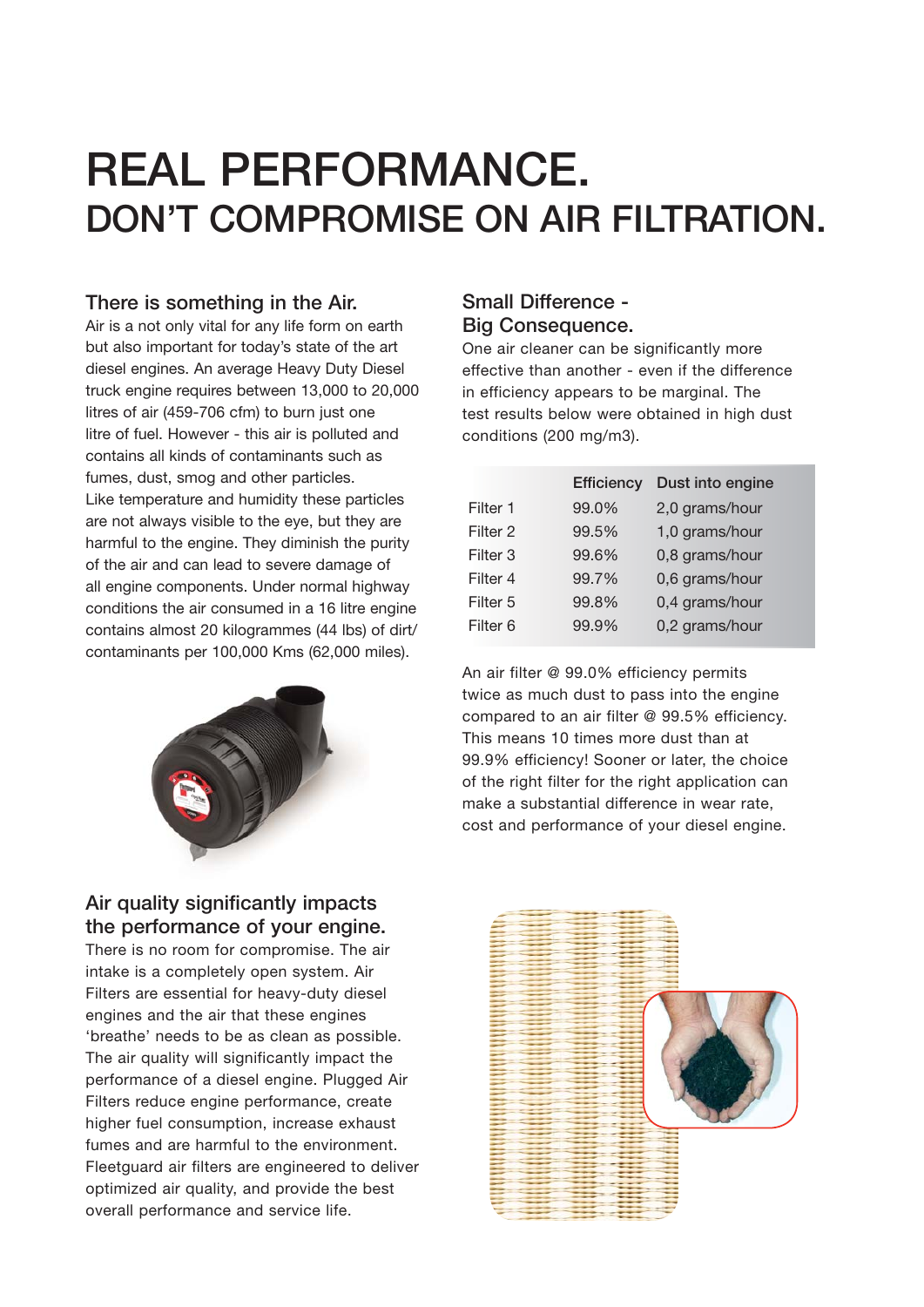# **REAL PERFORMANCE. DON'T COMPROMISE ON AIR FILTRATION.**

#### **There is something in the Air.**

Air is a not only vital for any life form on earth but also important for today's state of the art diesel engines. An average Heavy Duty Diesel truck engine requires between 13,000 to 20,000 litres of air (459-706 cfm) to burn just one litre of fuel. However - this air is polluted and contains all kinds of contaminants such as fumes, dust, smog and other particles. Like temperature and humidity these particles are not always visible to the eye, but they are harmful to the engine. They diminish the purity of the air and can lead to severe damage of all engine components. Under normal highway conditions the air consumed in a 16 litre engine contains almost 20 kilogrammes (44 lbs) of dirt/ contaminants per 100,000 Kms (62,000 miles).



#### **Small Difference - Big Consequence.**

One air cleaner can be significantly more effective than another - even if the difference in efficiency appears to be marginal. The test results below were obtained in high dust conditions (200 mg/m3).

| <b>Efficiency</b> | Dust into engine |
|-------------------|------------------|
| 99.0%             | 2,0 grams/hour   |
| 99.5%             | 1,0 grams/hour   |
| 99.6%             | 0,8 grams/hour   |
| 99.7%             | 0,6 grams/hour   |
| 99.8%             | 0,4 grams/hour   |
| 99.9%             | 0,2 grams/hour   |
|                   |                  |

An air filter @ 99.0% efficiency permits twice as much dust to pass into the engine compared to an air filter @ 99.5% efficiency. This means 10 times more dust than at 99.9% efficiency! Sooner or later, the choice of the right filter for the right application can make a substantial difference in wear rate, cost and performance of your diesel engine.

#### **Air quality significantly impacts the performance of your engine.**

There is no room for compromise. The air intake is a completely open system. Air Filters are essential for heavy-duty diesel engines and the air that these engines 'breathe' needs to be as clean as possible. The air quality will significantly impact the performance of a diesel engine. Plugged Air Filters reduce engine performance, create higher fuel consumption, increase exhaust fumes and are harmful to the environment. Fleetguard air filters are engineered to deliver optimized air quality, and provide the best overall performance and service life.

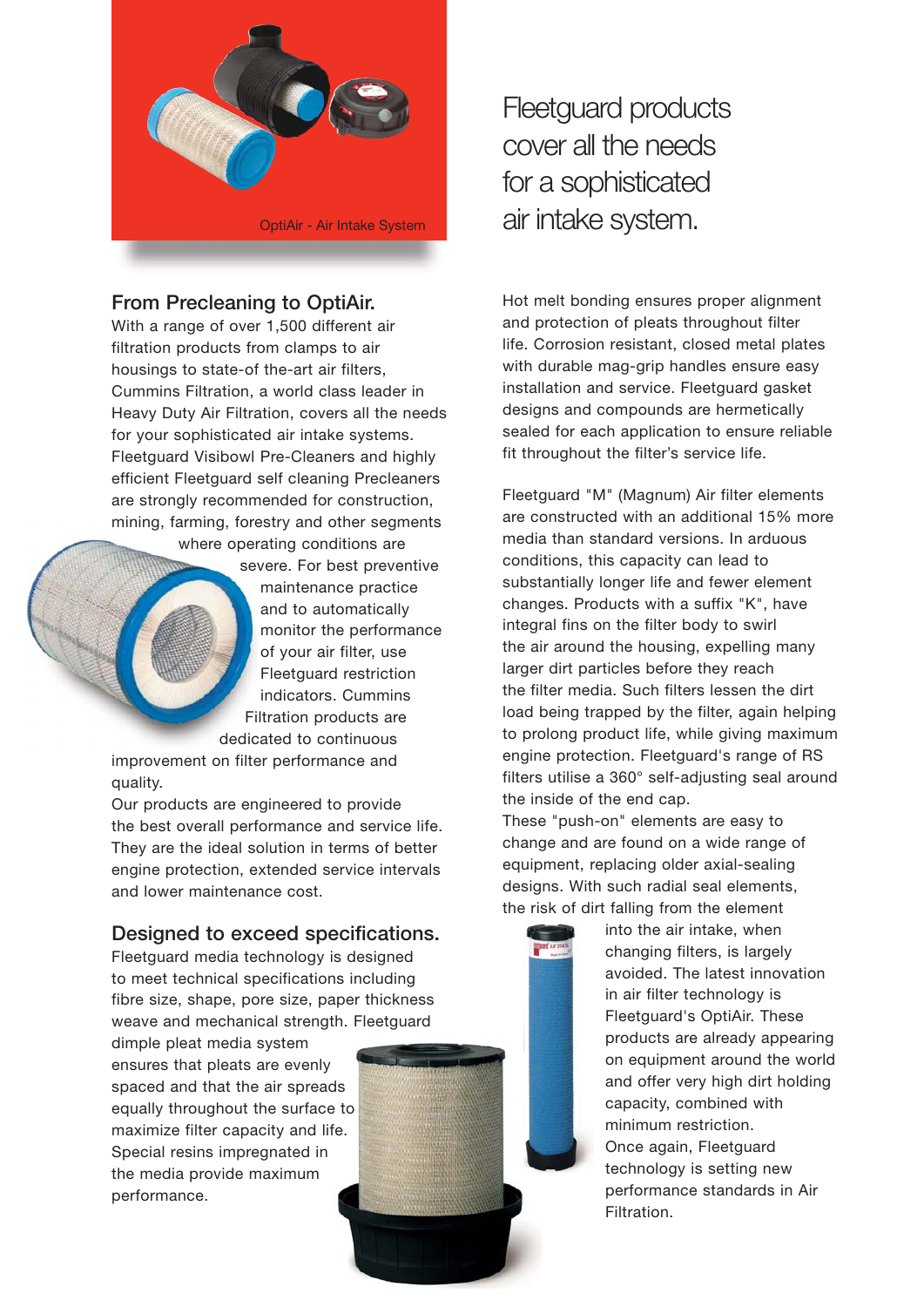

#### **From Precleaning to OptiAir.**

With a range of over 1,500 different air filtration products from clamps to air housings to state-of the-art air filters, Cummins Filtration, a world class leader in Heavy Duty Air Filtration, covers all the needs for your sophisticated air intake systems. Fleetguard Visibowl Pre-Cleaners and highly efficient Fleetguard self cleaning Precleaners are strongly recommended for construction, mining, farming, forestry and other segments

where operating conditions are

 severe. For best preventive maintenance practice and to automatically monitor the performance of your air filter, use Fleetguard restriction indicators. Cummins Filtration products are dedicated to continuous

improvement on filter performance and quality.

Our products are engineered to provide the best overall performance and service life. They are the ideal solution in terms of better engine protection, extended service intervals and lower maintenance cost.

#### **Designed to exceed specifications.**

Fleetguard media technology is designed to meet technical specifications including fibre size, shape, pore size, paper thickness weave and mechanical strength. Fleetguard

dimple pleat media system ensures that pleats are evenly spaced and that the air spreads equally throughout the surface to maximize filter capacity and life. Special resins impregnated in the media provide maximum performance.

Fleetguard products cover all the needs for a sophisticated air intake system.

Hot melt bonding ensures proper alignment and protection of pleats throughout filter life. Corrosion resistant, closed metal plates with durable mag-grip handles ensure easy installation and service. Fleetguard gasket designs and compounds are hermetically sealed for each application to ensure reliable fit throughout the filter's service life.

Fleetguard "M" (Magnum) Air filter elements are constructed with an additional 15% more media than standard versions. In arduous conditions, this capacity can lead to substantially longer life and fewer element changes. Products with a suffix "K", have integral fins on the filter body to swirl the air around the housing, expelling many larger dirt particles before they reach the filter media. Such filters lessen the dirt load being trapped by the filter, again helping to prolong product life, while giving maximum engine protection. Fleetguard's range of RS filters utilise a 360° self-adjusting seal around the inside of the end cap.

These "push-on" elements are easy to change and are found on a wide range of equipment, replacing older axial-sealing designs. With such radial seal elements, the risk of dirt falling from the element

> into the air intake, when changing filters, is largely avoided. The latest innovation in air filter technology is Fleetguard's OptiAir. These products are already appearing on equipment around the world and offer very high dirt holding capacity, combined with minimum restriction. Once again, Fleetguard technology is setting new performance standards in Air Filtration.